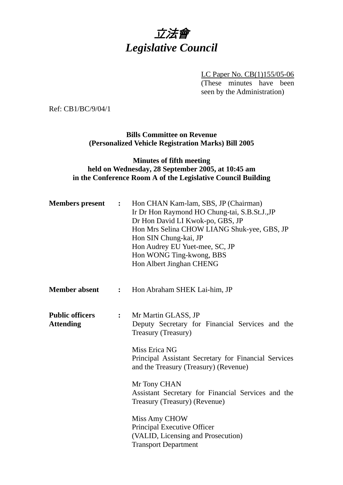

LC Paper No. CB(1)155/05-06 (These minutes have been seen by the Administration)

Ref: CB1/BC/9/04/1

**Bills Committee on Revenue (Personalized Vehicle Registration Marks) Bill 2005** 

# **Minutes of fifth meeting held on Wednesday, 28 September 2005, at 10:45 am in the Conference Room A of the Legislative Council Building**

| <b>Members</b> present                     | $\ddot{\cdot}$ | Hon CHAN Kam-lam, SBS, JP (Chairman)<br>Ir Dr Hon Raymond HO Chung-tai, S.B.St.J., JP<br>Dr Hon David LI Kwok-po, GBS, JP<br>Hon Mrs Selina CHOW LIANG Shuk-yee, GBS, JP<br>Hon SIN Chung-kai, JP<br>Hon Audrey EU Yuet-mee, SC, JP<br>Hon WONG Ting-kwong, BBS<br>Hon Albert Jinghan CHENG |  |
|--------------------------------------------|----------------|---------------------------------------------------------------------------------------------------------------------------------------------------------------------------------------------------------------------------------------------------------------------------------------------|--|
| <b>Member absent</b>                       | $\ddot{\cdot}$ | Hon Abraham SHEK Lai-him, JP                                                                                                                                                                                                                                                                |  |
| <b>Public officers</b><br><b>Attending</b> | $\ddot{\cdot}$ | Mr Martin GLASS, JP<br>Deputy Secretary for Financial Services and the<br>Treasury (Treasury)<br>Miss Erica NG<br>Principal Assistant Secretary for Financial Services<br>and the Treasury (Treasury) (Revenue)<br>Mr Tony CHAN                                                             |  |
|                                            |                | Assistant Secretary for Financial Services and the<br>Treasury (Treasury) (Revenue)                                                                                                                                                                                                         |  |
|                                            |                | Miss Amy CHOW<br>Principal Executive Officer<br>(VALID, Licensing and Prosecution)<br><b>Transport Department</b>                                                                                                                                                                           |  |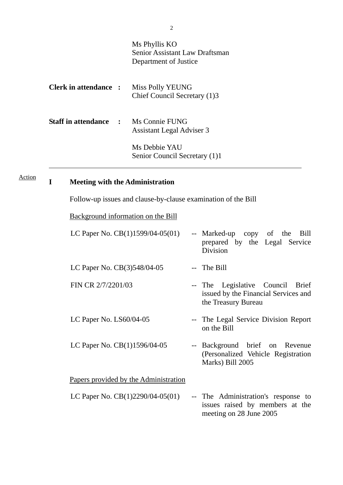|                              |                                             | Ms Phyllis KO<br>Senior Assistant Law Draftsman<br>Department of Justice                                |  |  |
|------------------------------|---------------------------------------------|---------------------------------------------------------------------------------------------------------|--|--|
| <b>Clerk in attendance :</b> |                                             | Miss Polly YEUNG<br>Chief Council Secretary (1)3                                                        |  |  |
|                              | <b>Staff in attendance</b><br>$\sim$ $\sim$ | Ms Connie FUNG<br><b>Assistant Legal Adviser 3</b>                                                      |  |  |
|                              |                                             | Ms Debbie YAU<br>Senior Council Secretary (1)1                                                          |  |  |
| I                            | <b>Meeting with the Administration</b>      |                                                                                                         |  |  |
|                              |                                             | Follow-up issues and clause-by-clause examination of the Bill                                           |  |  |
|                              | <b>Background information on the Bill</b>   |                                                                                                         |  |  |
|                              |                                             | LC Paper No. $CB(1)1599/04-05(01)$<br>-- Marked-up copy of the<br>Bill<br>prepared by the Legal Service |  |  |

LC Paper No. CB(3)548/04-05 -- The Bill

Action

FIN CR 2/7/2201/03 -- The Legislative Council Brief issued by the Financial Services and the Treasury Bureau

Division

- LC Paper No. LS60/04-05 -- The Legal Service Division Report on the Bill
- LC Paper No. CB(1)1596/04-05 -- Background brief on Revenue (Personalized Vehicle Registration Marks) Bill 2005

Papers provided by the Administration

LC Paper No. CB(1)2290/04-05(01) -- The Administration's response to issues raised by members at the meeting on 28 June 2005

2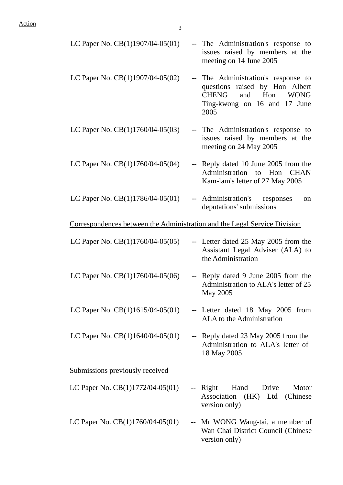| LC Paper No. CB(1)1907/04-05(01)                                          | -- The Administration's response to<br>issues raised by members at the<br>meeting on 14 June 2005                                                          |
|---------------------------------------------------------------------------|------------------------------------------------------------------------------------------------------------------------------------------------------------|
| LC Paper No. $CB(1)1907/04-05(02)$                                        | -- The Administration's response to<br>questions raised by Hon Albert<br><b>CHENG</b><br>and Hon<br><b>WONG</b><br>Ting-kwong on 16 and 17<br>June<br>2005 |
| LC Paper No. CB(1)1760/04-05(03)                                          | -- The Administration's response to<br>issues raised by members at the<br>meeting on 24 May 2005                                                           |
| LC Paper No. CB(1)1760/04-05(04)                                          | -- Reply dated 10 June 2005 from the<br>Administration<br>Hon<br><b>CHAN</b><br>to<br>Kam-lam's letter of 27 May 2005                                      |
| LC Paper No. CB(1)1786/04-05(01)                                          | Administration's responses<br><sub>on</sub><br>deputations' submissions                                                                                    |
| Correspondences between the Administration and the Legal Service Division |                                                                                                                                                            |
| LC Paper No. $CB(1)1760/04-05(05)$                                        | -- Letter dated 25 May 2005 from the<br>Assistant Legal Adviser (ALA) to<br>the Administration                                                             |
| LC Paper No. CB(1)1760/04-05(06)                                          | -- Reply dated 9 June 2005 from the<br>Administration to ALA's letter of 25<br>May 2005                                                                    |
| LC Paper No. $CB(1)1615/04-05(01)$                                        | -- Letter dated 18 May 2005 from<br>ALA to the Administration                                                                                              |
| LC Paper No. $CB(1)1640/04-05(01)$                                        | -- Reply dated 23 May 2005 from the<br>Administration to ALA's letter of<br>18 May 2005                                                                    |
| Submissions previously received                                           |                                                                                                                                                            |
| LC Paper No. $CB(1)1772/04-05(01)$                                        | Hand<br>Motor<br>-- Right<br>Drive<br>Association (HK) Ltd (Chinese<br>version only)                                                                       |
| LC Paper No. $CB(1)1760/04-05(01)$                                        | -- Mr WONG Wang-tai, a member of<br>Wan Chai District Council (Chinese<br>version only)                                                                    |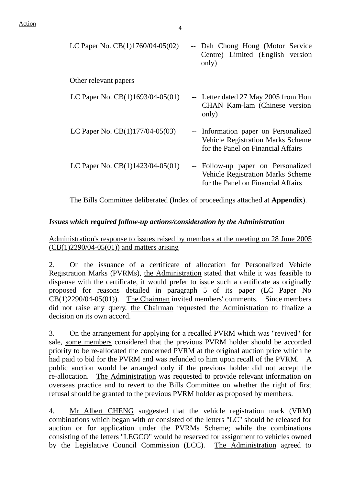| LC Paper No. $CB(1)1760/04-05(02)$ | Dah Chong Hong (Motor Service<br>$\rightarrow$<br>Centre) Limited (English version<br>only)                            |
|------------------------------------|------------------------------------------------------------------------------------------------------------------------|
| Other relevant papers              |                                                                                                                        |
| LC Paper No. $CB(1)1693/04-05(01)$ | -- Letter dated 27 May 2005 from Hon<br>CHAN Kam-lam (Chinese version<br>only)                                         |
| LC Paper No. $CB(1)177/04-05(03)$  | -- Information paper on Personalized<br><b>Vehicle Registration Marks Scheme</b><br>for the Panel on Financial Affairs |
| LC Paper No. $CB(1)1423/04-05(01)$ | -- Follow-up paper on Personalized<br><b>Vehicle Registration Marks Scheme</b>                                         |

1. The Bills Committee deliberated (Index of proceedings attached at **Appendix**).

for the Panel on Financial Affairs

### *Issues which required follow-up actions/consideration by the Administration*

Administration's response to issues raised by members at the meeting on 28 June 2005  $(CB(1)2290/04-05(01))$  and matters arising

2. On the issuance of a certificate of allocation for Personalized Vehicle Registration Marks (PVRMs), the Administration stated that while it was feasible to dispense with the certificate, it would prefer to issue such a certificate as originally proposed for reasons detailed in paragraph 5 of its paper (LC Paper No CB(1)2290/04-05(01)). The Chairman invited members' comments. Since members did not raise any query, the Chairman requested the Administration to finalize a decision on its own accord.

3. On the arrangement for applying for a recalled PVRM which was "revived" for sale, some members considered that the previous PVRM holder should be accorded priority to be re-allocated the concerned PVRM at the original auction price which he had paid to bid for the PVRM and was refunded to him upon recall of the PVRM. A public auction would be arranged only if the previous holder did not accept the re-allocation. The Administration was requested to provide relevant information on overseas practice and to revert to the Bills Committee on whether the right of first refusal should be granted to the previous PVRM holder as proposed by members.

4. Mr Albert CHENG suggested that the vehicle registration mark (VRM) combinations which began with or consisted of the letters "LC" should be released for auction or for application under the PVRMs Scheme; while the combinations consisting of the letters "LEGCO" would be reserved for assignment to vehicles owned by the Legislative Council Commission (LCC). The Administration agreed to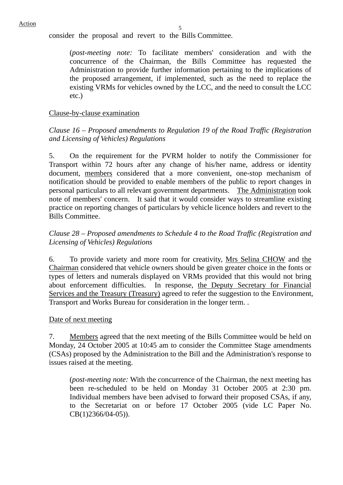consider the proposal and revert to the Bills Committee.

 (*post-meeting note:* To facilitate members' consideration and with the concurrence of the Chairman, the Bills Committee has requested the Administration to provide further information pertaining to the implications of the proposed arrangement, if implemented, such as the need to replace the existing VRMs for vehicles owned by the LCC, and the need to consult the LCC etc.)

## Clause-by-clause examination

*Clause 16 – Proposed amendments to Regulation 19 of the Road Traffic (Registration and Licensing of Vehicles) Regulations* 

5. On the requirement for the PVRM holder to notify the Commissioner for Transport within 72 hours after any change of his/her name, address or identity document, members considered that a more convenient, one-stop mechanism of notification should be provided to enable members of the public to report changes in personal particulars to all relevant government departments. The Administration took note of members' concern. It said that it would consider ways to streamline existing practice on reporting changes of particulars by vehicle licence holders and revert to the Bills Committee.

*Clause 28 – Proposed amendments to Schedule 4 to the Road Traffic (Registration and Licensing of Vehicles) Regulations* 

6. To provide variety and more room for creativity, Mrs Selina CHOW and the Chairman considered that vehicle owners should be given greater choice in the fonts or types of letters and numerals displayed on VRMs provided that this would not bring about enforcement difficulties. In response, the Deputy Secretary for Financial Services and the Treasury (Treasury) agreed to refer the suggestion to the Environment, Transport and Works Bureau for consideration in the longer term. .

#### Date of next meeting

7. Members agreed that the next meeting of the Bills Committee would be held on Monday, 24 October 2005 at 10:45 am to consider the Committee Stage amendments (CSAs) proposed by the Administration to the Bill and the Administration's response to issues raised at the meeting.

 (*post-meeting note:* With the concurrence of the Chairman, the next meeting has been re-scheduled to be held on Monday 31 October 2005 at 2:30 pm. Individual members have been advised to forward their proposed CSAs, if any, to the Secretariat on or before 17 October 2005 (vide LC Paper No. CB(1)2366/04-05)).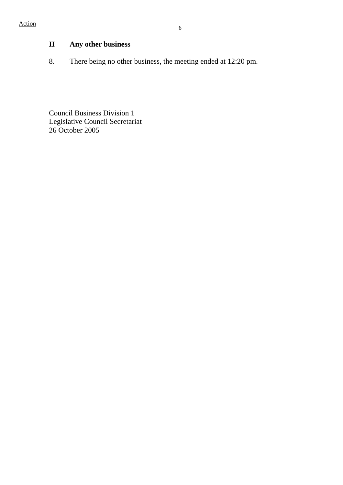# **II Any other business**

8. There being no other business, the meeting ended at 12:20 pm.

Council Business Division 1 Legislative Council Secretariat 26 October 2005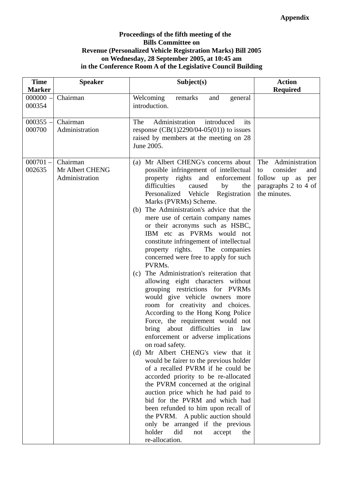#### **Proceedings of the fifth meeting of the Bills Committee on Revenue (Personalized Vehicle Registration Marks) Bill 2005 on Wednesday, 28 September 2005, at 10:45 am in the Conference Room A of the Legislative Council Building**

| <b>Time</b>          | <b>Speaker</b>                                | Subject(s)                                                                                                                                                                                                                                                                                                                                                                                                                                                                                                                                                                                                                                                                                                                                                                                                                                                                                                                                                                                                                                                                                                                                                                                                                                                                                                                                          | <b>Action</b>                                                                                              |
|----------------------|-----------------------------------------------|-----------------------------------------------------------------------------------------------------------------------------------------------------------------------------------------------------------------------------------------------------------------------------------------------------------------------------------------------------------------------------------------------------------------------------------------------------------------------------------------------------------------------------------------------------------------------------------------------------------------------------------------------------------------------------------------------------------------------------------------------------------------------------------------------------------------------------------------------------------------------------------------------------------------------------------------------------------------------------------------------------------------------------------------------------------------------------------------------------------------------------------------------------------------------------------------------------------------------------------------------------------------------------------------------------------------------------------------------------|------------------------------------------------------------------------------------------------------------|
| <b>Marker</b>        |                                               |                                                                                                                                                                                                                                                                                                                                                                                                                                                                                                                                                                                                                                                                                                                                                                                                                                                                                                                                                                                                                                                                                                                                                                                                                                                                                                                                                     | <b>Required</b>                                                                                            |
| $000000 -$<br>000354 | Chairman                                      | Welcoming<br>remarks<br>and<br>general<br>introduction.                                                                                                                                                                                                                                                                                                                                                                                                                                                                                                                                                                                                                                                                                                                                                                                                                                                                                                                                                                                                                                                                                                                                                                                                                                                                                             |                                                                                                            |
| $000355 -$<br>000700 | Chairman<br>Administration                    | Administration<br>introduced<br>The<br>its<br>response $(CB(1)2290/04-05(01))$ to issues<br>raised by members at the meeting on 28<br>June 2005.                                                                                                                                                                                                                                                                                                                                                                                                                                                                                                                                                                                                                                                                                                                                                                                                                                                                                                                                                                                                                                                                                                                                                                                                    |                                                                                                            |
| $000701 -$<br>002635 | Chairman<br>Mr Albert CHENG<br>Administration | Mr Albert CHENG's concerns about<br>(a)<br>possible infringement of intellectual<br>property rights and enforcement<br>difficulties<br>caused<br>by<br>the<br>Personalized Vehicle<br>Registration<br>Marks (PVRMs) Scheme.<br>(b) The Administration's advice that the<br>mere use of certain company names<br>or their acronyms such as HSBC,<br>IBM etc as PVRMs would not<br>constitute infringement of intellectual<br>property rights.<br>The companies<br>concerned were free to apply for such<br>PVRMs.<br>The Administration's reiteration that<br>(c)<br>allowing eight characters without<br>grouping restrictions for PVRMs<br>would give vehicle owners more<br>room for creativity and choices.<br>According to the Hong Kong Police<br>Force, the requirement would not<br>about difficulties<br>bring<br>in<br>law<br>enforcement or adverse implications<br>on road safety.<br>(d) Mr Albert CHENG's view that it<br>would be fairer to the previous holder<br>of a recalled PVRM if he could be<br>accorded priority to be re-allocated<br>the PVRM concerned at the original<br>auction price which he had paid to<br>bid for the PVRM and which had<br>been refunded to him upon recall of<br>the PVRM. A public auction should<br>only be arranged if the previous<br>did<br>holder<br>not<br>the<br>accept<br>re-allocation. | Administration<br>The<br>consider<br>and<br>to<br>follow up as per<br>paragraphs 2 to 4 of<br>the minutes. |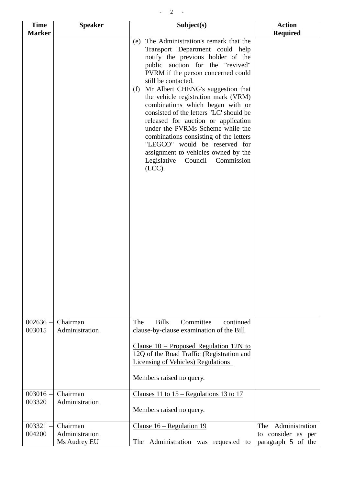| <b>Time</b>          | <b>Speaker</b>             | Subject(s)                                                                                                                                                                                                                                                                                                                                                                                                                                                                                                                                                                                                                            | <b>Action</b>         |
|----------------------|----------------------------|---------------------------------------------------------------------------------------------------------------------------------------------------------------------------------------------------------------------------------------------------------------------------------------------------------------------------------------------------------------------------------------------------------------------------------------------------------------------------------------------------------------------------------------------------------------------------------------------------------------------------------------|-----------------------|
| <b>Marker</b>        |                            |                                                                                                                                                                                                                                                                                                                                                                                                                                                                                                                                                                                                                                       | <b>Required</b>       |
|                      |                            | The Administration's remark that the<br>(e)<br>Transport Department could help<br>notify the previous holder of the<br>public auction for the "revived"<br>PVRM if the person concerned could<br>still be contacted.<br>Mr Albert CHENG's suggestion that<br>(f)<br>the vehicle registration mark (VRM)<br>combinations which began with or<br>consisted of the letters "LC' should be<br>released for auction or application<br>under the PVRMs Scheme while the<br>combinations consisting of the letters<br>"LEGCO" would be reserved for<br>assignment to vehicles owned by the<br>Legislative<br>Council<br>Commission<br>(LCC). |                       |
| $002636 -$<br>003015 | Chairman<br>Administration | Committee<br><b>Bills</b><br>continued<br>The<br>clause-by-clause examination of the Bill<br>Clause $10$ – Proposed Regulation 12N to<br>12Q of the Road Traffic (Registration and<br><b>Licensing of Vehicles) Regulations</b>                                                                                                                                                                                                                                                                                                                                                                                                       |                       |
|                      | Chairman                   | Members raised no query.                                                                                                                                                                                                                                                                                                                                                                                                                                                                                                                                                                                                              |                       |
| $003016 -$<br>003320 | Administration             | <u>Clauses 11 to <math>15</math> – Regulations 13 to 17</u><br>Members raised no query.                                                                                                                                                                                                                                                                                                                                                                                                                                                                                                                                               |                       |
| 003321               | Chairman                   | Clause $16$ – Regulation 19                                                                                                                                                                                                                                                                                                                                                                                                                                                                                                                                                                                                           | Administration<br>The |
| 004200               | Administration             |                                                                                                                                                                                                                                                                                                                                                                                                                                                                                                                                                                                                                                       | to consider as per    |
|                      | Ms Audrey EU               | The Administration was requested to                                                                                                                                                                                                                                                                                                                                                                                                                                                                                                                                                                                                   | paragraph 5 of the    |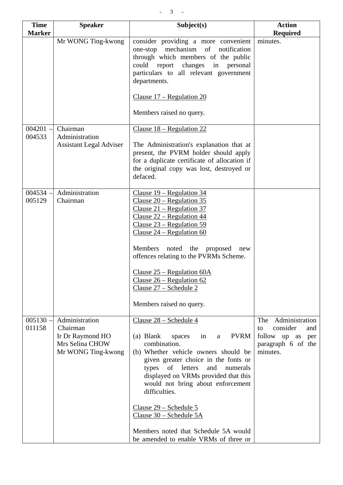| <b>Time</b><br><b>Marker</b> | <b>Speaker</b>                                                                          | Subject(s)                                                                                                                                                                                                                                                                                                                                                                                                                                            | <b>Action</b>                                                                                        |
|------------------------------|-----------------------------------------------------------------------------------------|-------------------------------------------------------------------------------------------------------------------------------------------------------------------------------------------------------------------------------------------------------------------------------------------------------------------------------------------------------------------------------------------------------------------------------------------------------|------------------------------------------------------------------------------------------------------|
|                              | Mr WONG Ting-kwong                                                                      | consider providing a more convenient<br>one-stop mechanism of<br>notification<br>through which members of the public<br>could report changes in personal<br>particulars to all relevant government<br>departments.<br>Clause $17 -$ Regulation 20<br>Members raised no query.                                                                                                                                                                         | <b>Required</b><br>minutes.                                                                          |
| $004201 -$<br>004533         | Chairman<br>Administration<br><b>Assistant Legal Adviser</b>                            | Clause 18 – Regulation 22<br>The Administration's explanation that at<br>present, the PVRM holder should apply<br>for a duplicate certificate of allocation if<br>the original copy was lost, destroyed or<br>defaced.                                                                                                                                                                                                                                |                                                                                                      |
| $004534 -$<br>005129         | Administration<br>Chairman                                                              | Clause $19$ – Regulation 34<br>Clause $20$ – Regulation 35<br>Clause $21$ – Regulation 37<br>Clause $22$ – Regulation 44<br>Clause $23$ – Regulation 59<br>Clause $24$ – Regulation 60<br>Members<br>noted the<br>proposed<br>new<br>offences relating to the PVRMs Scheme.<br>Clause $25$ – Regulation 60A<br>Clause $26$ – Regulation 62<br>Clause 27 - Schedule 2<br>Members raised no query.                                                      |                                                                                                      |
| $005130 -$<br>011158         | Administration<br>Chairman<br>Ir Dr Raymond HO<br>Mrs Selina CHOW<br>Mr WONG Ting-kwong | Clause 28 – Schedule 4<br><b>PVRM</b><br>(a) Blank<br>spaces<br>in<br>a<br>combination.<br>(b) Whether vehicle owners should be<br>given greater choice in the fonts or<br>of letters<br>numerals<br>types<br>and<br>displayed on VRMs provided that this<br>would not bring about enforcement<br>difficulties.<br>Clause 29 – Schedule 5<br>Clause 30 - Schedule 5A<br>Members noted that Schedule 5A would<br>be amended to enable VRMs of three or | Administration<br>The<br>consider<br>and<br>to<br>follow up as per<br>paragraph 6 of the<br>minutes. |